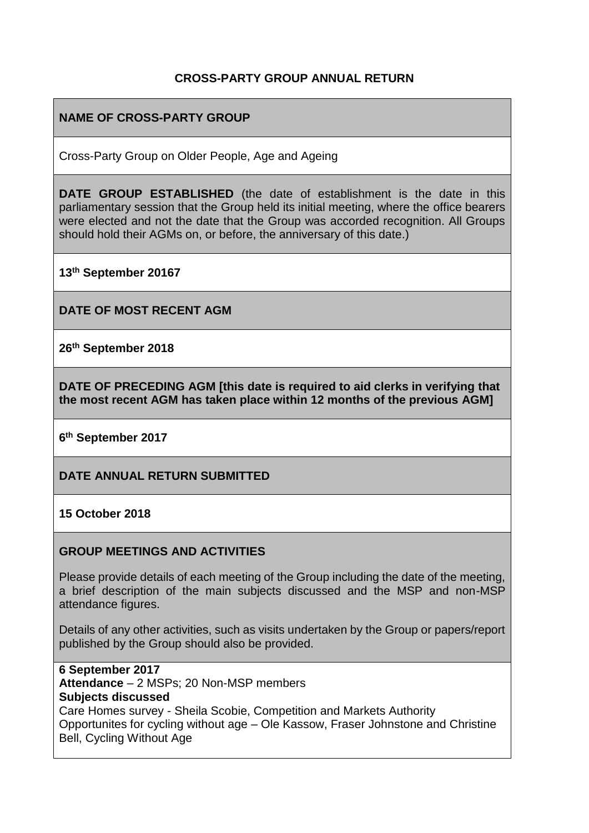### **CROSS-PARTY GROUP ANNUAL RETURN**

### **NAME OF CROSS-PARTY GROUP**

Cross-Party Group on Older People, Age and Ageing

**DATE GROUP ESTABLISHED** (the date of establishment is the date in this parliamentary session that the Group held its initial meeting, where the office bearers were elected and not the date that the Group was accorded recognition. All Groups should hold their AGMs on, or before, the anniversary of this date.)

**13th September 20167**

**DATE OF MOST RECENT AGM**

**26th September 2018**

**DATE OF PRECEDING AGM [this date is required to aid clerks in verifying that the most recent AGM has taken place within 12 months of the previous AGM]**

**6 th September 2017**

**DATE ANNUAL RETURN SUBMITTED**

#### **15 October 2018**

#### **GROUP MEETINGS AND ACTIVITIES**

Please provide details of each meeting of the Group including the date of the meeting, a brief description of the main subjects discussed and the MSP and non-MSP attendance figures.

Details of any other activities, such as visits undertaken by the Group or papers/report published by the Group should also be provided.

**6 September 2017 Attendance** – 2 MSPs; 20 Non-MSP members **Subjects discussed** Care Homes survey - Sheila Scobie, Competition and Markets Authority Opportunites for cycling without age – Ole Kassow, Fraser Johnstone and Christine Bell, Cycling Without Age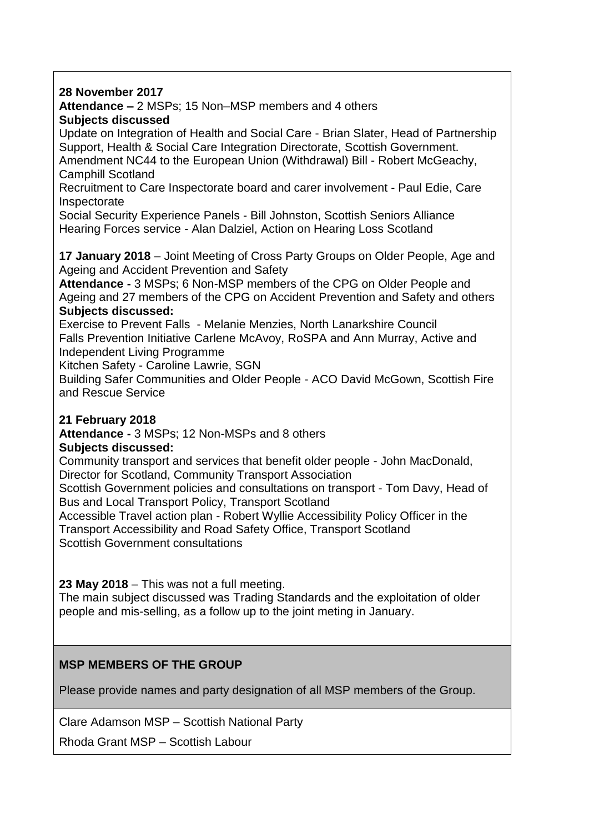#### **28 November 2017**

**Attendance –** 2 MSPs; 15 Non–MSP members and 4 others **Subjects discussed** 

Update on Integration of Health and Social Care - Brian Slater, Head of Partnership Support, Health & Social Care Integration Directorate, Scottish Government. Amendment NC44 to the European Union (Withdrawal) Bill - Robert McGeachy, Camphill Scotland

Recruitment to Care Inspectorate board and carer involvement - Paul Edie, Care Inspectorate

Social Security Experience Panels - Bill Johnston, Scottish Seniors Alliance Hearing Forces service - Alan Dalziel, Action on Hearing Loss Scotland

**17 January 2018** – Joint Meeting of Cross Party Groups on Older People, Age and Ageing and Accident Prevention and Safety

**Attendance -** 3 MSPs; 6 Non-MSP members of the CPG on Older People and Ageing and 27 members of the CPG on Accident Prevention and Safety and others **Subjects discussed:**

Exercise to Prevent Falls - Melanie Menzies, North Lanarkshire Council Falls Prevention Initiative Carlene McAvoy, RoSPA and Ann Murray, Active and Independent Living Programme

Kitchen Safety - Caroline Lawrie, SGN

Building Safer Communities and Older People - ACO David McGown, Scottish Fire and Rescue Service

### **21 February 2018**

**Attendance -** 3 MSPs; 12 Non-MSPs and 8 others

### **Subjects discussed:**

Community transport and services that benefit older people - John MacDonald, Director for Scotland, Community Transport Association

Scottish Government policies and consultations on transport - Tom Davy, Head of Bus and Local Transport Policy, Transport Scotland

Accessible Travel action plan - Robert Wyllie Accessibility Policy Officer in the Transport Accessibility and Road Safety Office, Transport Scotland Scottish Government consultations

**23 May 2018** – This was not a full meeting.

The main subject discussed was Trading Standards and the exploitation of older people and mis-selling, as a follow up to the joint meting in January.

### **MSP MEMBERS OF THE GROUP**

Please provide names and party designation of all MSP members of the Group.

Clare Adamson MSP – Scottish National Party

Rhoda Grant MSP – Scottish Labour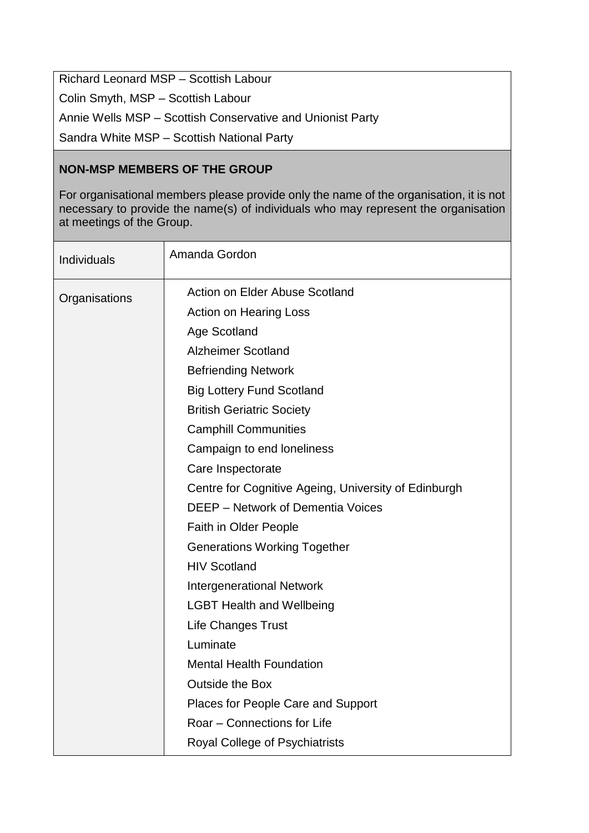Richard Leonard MSP – Scottish Labour Colin Smyth, MSP – Scottish Labour Annie Wells MSP – Scottish Conservative and Unionist Party Sandra White MSP – Scottish National Party

## **NON-MSP MEMBERS OF THE GROUP**

For organisational members please provide only the name of the organisation, it is not necessary to provide the name(s) of individuals who may represent the organisation at meetings of the Group.

| Individuals   | Amanda Gordon                                        |
|---------------|------------------------------------------------------|
| Organisations | Action on Elder Abuse Scotland                       |
|               | <b>Action on Hearing Loss</b>                        |
|               | <b>Age Scotland</b>                                  |
|               | <b>Alzheimer Scotland</b>                            |
|               | <b>Befriending Network</b>                           |
|               | <b>Big Lottery Fund Scotland</b>                     |
|               | <b>British Geriatric Society</b>                     |
|               | <b>Camphill Communities</b>                          |
|               | Campaign to end loneliness                           |
|               | Care Inspectorate                                    |
|               | Centre for Cognitive Ageing, University of Edinburgh |
|               | <b>DEEP</b> – Network of Dementia Voices             |
|               | Faith in Older People                                |
|               | <b>Generations Working Together</b>                  |
|               | <b>HIV Scotland</b>                                  |
|               | <b>Intergenerational Network</b>                     |
|               | <b>LGBT Health and Wellbeing</b>                     |
|               | <b>Life Changes Trust</b>                            |
|               | Luminate                                             |
|               | <b>Mental Health Foundation</b>                      |
|               | Outside the Box                                      |
|               | Places for People Care and Support                   |
|               | Roar - Connections for Life                          |
|               | Royal College of Psychiatrists                       |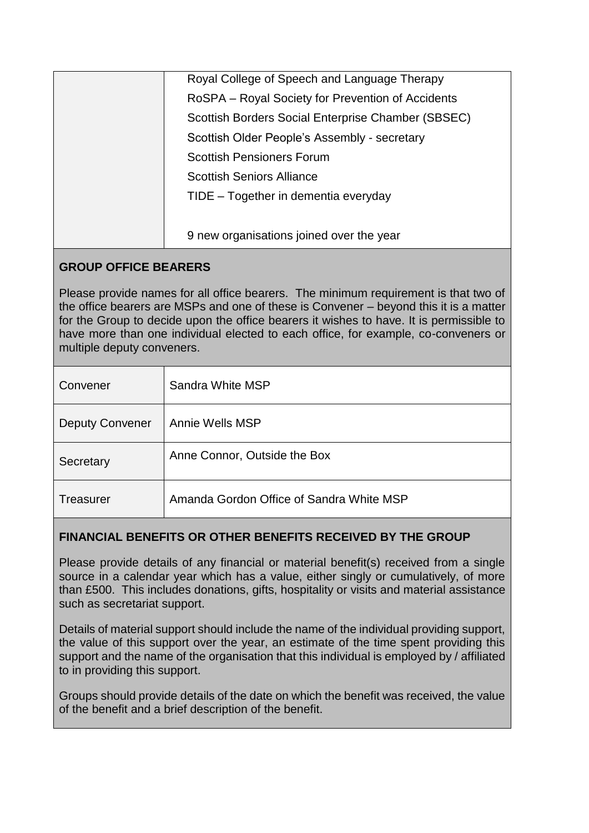| Royal College of Speech and Language Therapy       |
|----------------------------------------------------|
| RoSPA – Royal Society for Prevention of Accidents  |
| Scottish Borders Social Enterprise Chamber (SBSEC) |
| Scottish Older People's Assembly - secretary       |
| <b>Scottish Pensioners Forum</b>                   |
| <b>Scottish Seniors Alliance</b>                   |
| TIDE – Together in dementia everyday               |
|                                                    |
| 9 new organisations joined over the year           |

## **GROUP OFFICE BEARERS**

Please provide names for all office bearers. The minimum requirement is that two of the office bearers are MSPs and one of these is Convener – beyond this it is a matter for the Group to decide upon the office bearers it wishes to have. It is permissible to have more than one individual elected to each office, for example, co-conveners or multiple deputy conveners.

| Convener               | Sandra White MSP                         |
|------------------------|------------------------------------------|
| <b>Deputy Convener</b> | Annie Wells MSP                          |
| Secretary              | Anne Connor, Outside the Box             |
| <b>Treasurer</b>       | Amanda Gordon Office of Sandra White MSP |

## **FINANCIAL BENEFITS OR OTHER BENEFITS RECEIVED BY THE GROUP**

Please provide details of any financial or material benefit(s) received from a single source in a calendar year which has a value, either singly or cumulatively, of more than £500. This includes donations, gifts, hospitality or visits and material assistance such as secretariat support.

Details of material support should include the name of the individual providing support, the value of this support over the year, an estimate of the time spent providing this support and the name of the organisation that this individual is employed by / affiliated to in providing this support.

Groups should provide details of the date on which the benefit was received, the value of the benefit and a brief description of the benefit.